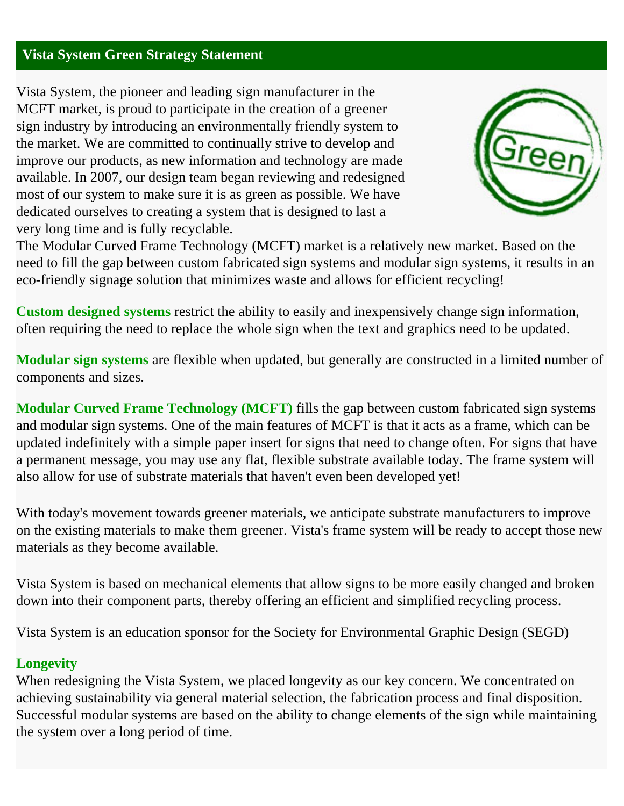# **Vista System Green Strategy Statement**

Vista System, the pioneer and leading sign manufacturer in the MCFT market, is proud to participate in the creation of a greener sign industry by introducing an environmentally friendly system to the market. We are committed to continually strive to develop and improve our products, as new information and technology are made available. In 2007, our design team began reviewing and redesigned most of our system to make sure it is as green as possible. We have dedicated ourselves to creating a system that is designed to last a very long time and is fully recyclable.



The Modular Curved Frame Technology (MCFT) market is a relatively new market. Based on the need to fill the gap between custom fabricated sign systems and modular sign systems, it results in an eco-friendly signage solution that minimizes waste and allows for efficient recycling!

**Custom designed systems** restrict the ability to easily and inexpensively change sign information, often requiring the need to replace the whole sign when the text and graphics need to be updated.

**Modular sign systems** are flexible when updated, but generally are constructed in a limited number of components and sizes.

**Modular Curved Frame Technology (MCFT)** fills the gap between custom fabricated sign systems and modular sign systems. One of the main features of MCFT is that it acts as a frame, which can be updated indefinitely with a simple paper insert for signs that need to change often. For signs that have a permanent message, you may use any flat, flexible substrate available today. The frame system will also allow for use of substrate materials that haven't even been developed yet!

With today's movement towards greener materials, we anticipate substrate manufacturers to improve on the existing materials to make them greener. Vista's frame system will be ready to accept those new materials as they become available.

Vista System is based on mechanical elements that allow signs to be more easily changed and broken down into their component parts, thereby offering an efficient and simplified recycling process.

Vista System is an education sponsor for the Society for Environmental Graphic Design (SEGD)

### **Longevity**

When redesigning the Vista System, we placed longevity as our key concern. We concentrated on achieving sustainability via general material selection, the fabrication process and final disposition. Successful modular systems are based on the ability to change elements of the sign while maintaining the system over a long period of time.